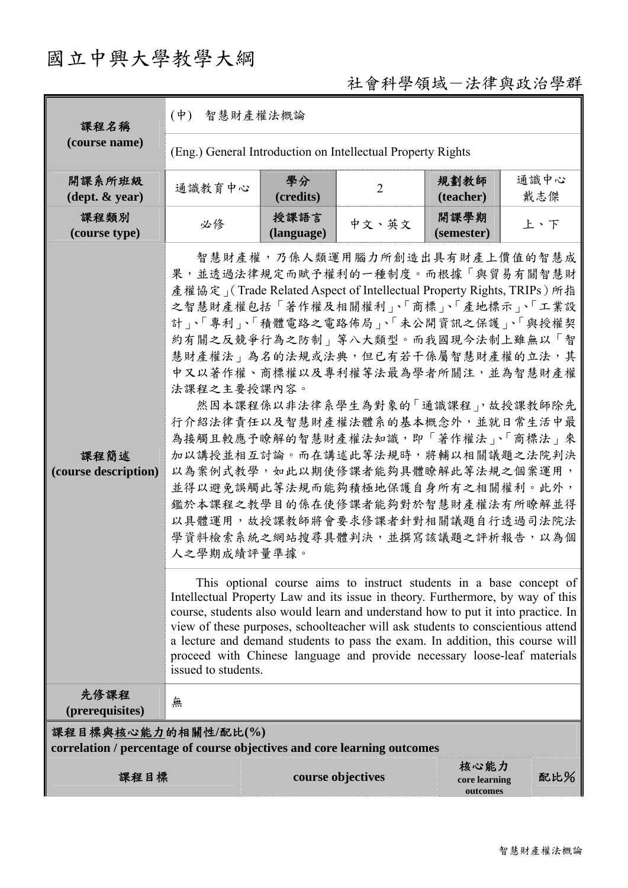# 國立中興大學教學大綱

# 社會科學領域-法律與政治學群

| 課程名稱                                                                                            | 智慧財產權法概論<br>$(\phi)$                                                                                                                                                                                                                                                                                                                                                                                                                                                                                                                                                                                                                                                                                                                                                                                                                                                                                                                                                                                                                                                                                                                                                                                                            |                    |                   |                                   |             |  |  |
|-------------------------------------------------------------------------------------------------|---------------------------------------------------------------------------------------------------------------------------------------------------------------------------------------------------------------------------------------------------------------------------------------------------------------------------------------------------------------------------------------------------------------------------------------------------------------------------------------------------------------------------------------------------------------------------------------------------------------------------------------------------------------------------------------------------------------------------------------------------------------------------------------------------------------------------------------------------------------------------------------------------------------------------------------------------------------------------------------------------------------------------------------------------------------------------------------------------------------------------------------------------------------------------------------------------------------------------------|--------------------|-------------------|-----------------------------------|-------------|--|--|
| (course name)                                                                                   | (Eng.) General Introduction on Intellectual Property Rights                                                                                                                                                                                                                                                                                                                                                                                                                                                                                                                                                                                                                                                                                                                                                                                                                                                                                                                                                                                                                                                                                                                                                                     |                    |                   |                                   |             |  |  |
| 開課系所班級<br>$(\text{dept.} \& \text{ year})$                                                      | 通識教育中心                                                                                                                                                                                                                                                                                                                                                                                                                                                                                                                                                                                                                                                                                                                                                                                                                                                                                                                                                                                                                                                                                                                                                                                                                          | 學分<br>(credits)    | $\overline{2}$    | 規劃教師<br>(teacher)                 | 通識中心<br>戴志傑 |  |  |
| 課程類別<br>(course type)                                                                           | 必修                                                                                                                                                                                                                                                                                                                                                                                                                                                                                                                                                                                                                                                                                                                                                                                                                                                                                                                                                                                                                                                                                                                                                                                                                              | 授課語言<br>(language) | 中文、英文             | 開課學期<br>(semester)                | 上、下         |  |  |
| 課程簡述<br>(course description)                                                                    | 智慧財產權,乃係人類運用腦力所創造出具有財產上價值的智慧成<br>果,並透過法律規定而賦予權利的一種制度。而根據「與貿易有關智慧財<br>產權協定」(Trade Related Aspect of Intellectual Property Rights, TRIPs) 所指<br>之智慧財產權包括「著作權及相關權利」、「商標」、「產地標示」、「工業設<br>計」、「專利」、「積體電路之電路佈局」、「未公開資訊之保護」、「與授權契<br>約有關之反競爭行為之防制」等八大類型。而我國現今法制上雖無以「智<br>慧財產權法   為名的法規或法典, 但已有若干係屬智慧財產權的立法, 其<br>中又以著作權、商標權以及專利權等法最為學者所關注,並為智慧財產權<br>法課程之主要授課內容。<br>然因本課程係以非法律系學生為對象的「通識課程」,故授課教師除先<br>行介紹法律責任以及智慧財產權法體系的基本概念外,並就日常生活中最<br>為接觸且較應予瞭解的智慧財產權法知識,即「著作權法」、「商標法」來<br>加以講授並相互討論。而在講述此等法規時,將輔以相關議題之法院判決<br>以為案例式教學,如此以期使修課者能夠具體瞭解此等法規之個案運用,<br>並得以避免誤觸此等法規而能夠積極地保護自身所有之相關權利。此外,<br>鑑於本課程之教學目的係在使修課者能夠對於智慧財產權法有所瞭解並得<br>以具體運用,故授課教師將會要求修課者針對相關議題自行透過司法院法<br>學資料檢索系統之網站搜尋具體判決,並撰寫該議題之評析報告,以為個<br>人之學期成績評量準據。<br>This optional course aims to instruct students in a base concept of<br>Intellectual Property Law and its issue in theory. Furthermore, by way of this<br>course, students also would learn and understand how to put it into practice. In<br>view of these purposes, schoolteacher will ask students to conscientious attend<br>a lecture and demand students to pass the exam. In addition, this course will<br>proceed with Chinese language and provide necessary loose-leaf materials<br>issued to students. |                    |                   |                                   |             |  |  |
| 先修課程<br>(prerequisites)                                                                         | 無                                                                                                                                                                                                                                                                                                                                                                                                                                                                                                                                                                                                                                                                                                                                                                                                                                                                                                                                                                                                                                                                                                                                                                                                                               |                    |                   |                                   |             |  |  |
| 課程目標與核心能力的相關性/配比(%)<br>correlation / percentage of course objectives and core learning outcomes |                                                                                                                                                                                                                                                                                                                                                                                                                                                                                                                                                                                                                                                                                                                                                                                                                                                                                                                                                                                                                                                                                                                                                                                                                                 |                    |                   |                                   |             |  |  |
| 課程目標                                                                                            |                                                                                                                                                                                                                                                                                                                                                                                                                                                                                                                                                                                                                                                                                                                                                                                                                                                                                                                                                                                                                                                                                                                                                                                                                                 |                    | course objectives | 核心能力<br>core learning<br>outcomes | 配比%         |  |  |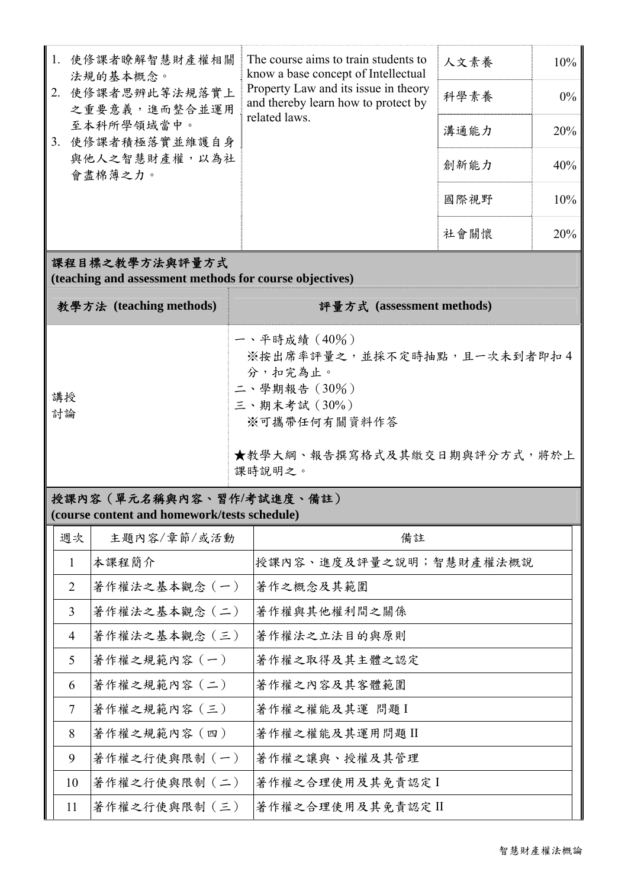|                | 1. 使修課者瞭解智慧財產權相關<br>法規的基本概念。<br>使修課者思辨此等法規落實上<br>之重要意義,進而整合並運用<br>至本科所學領域當中。<br>3. 使修課者積極落實並維護自身<br>與他人之智慧財產權,以為社<br>會盡棉薄之力。 |                                                                                                                                                         | The course aims to train students to<br>know a base concept of Intellectual<br>Property Law and its issue in theory<br>and thereby learn how to protect by<br>related laws. | 人文素養 | 10%   |  |  |  |
|----------------|------------------------------------------------------------------------------------------------------------------------------|---------------------------------------------------------------------------------------------------------------------------------------------------------|-----------------------------------------------------------------------------------------------------------------------------------------------------------------------------|------|-------|--|--|--|
|                |                                                                                                                              |                                                                                                                                                         |                                                                                                                                                                             | 科學素養 | $0\%$ |  |  |  |
|                |                                                                                                                              |                                                                                                                                                         |                                                                                                                                                                             | 溝通能力 | 20%   |  |  |  |
|                |                                                                                                                              |                                                                                                                                                         |                                                                                                                                                                             | 創新能力 | 40%   |  |  |  |
|                |                                                                                                                              |                                                                                                                                                         |                                                                                                                                                                             | 國際視野 | 10%   |  |  |  |
|                |                                                                                                                              |                                                                                                                                                         |                                                                                                                                                                             | 社會關懷 | 20%   |  |  |  |
|                | 課程目標之教學方法與評量方式<br>(teaching and assessment methods for course objectives)                                                    |                                                                                                                                                         |                                                                                                                                                                             |      |       |  |  |  |
|                | 教學方法 (teaching methods)                                                                                                      |                                                                                                                                                         | 評量方式 (assessment methods)                                                                                                                                                   |      |       |  |  |  |
| 講授<br>討論       |                                                                                                                              | 一、平時成績(40%)<br>※按出席率評量之,並採不定時抽點,且一次未到者即扣4<br>分,扣完為止。<br>$\equiv$ 、學期報告 $(30\%)$<br>三、期末考試(30%)<br>※可攜帶任何有關資料作答<br>★教學大綱、報告撰寫格式及其繳交日期與評分方式,將於上<br>課時說明之。 |                                                                                                                                                                             |      |       |  |  |  |
|                |                                                                                                                              |                                                                                                                                                         |                                                                                                                                                                             |      |       |  |  |  |
|                | 授課內容 (單元名稱與內容、習作/考試進度、備註)<br>(course content and homework/tests schedule)                                                    |                                                                                                                                                         |                                                                                                                                                                             |      |       |  |  |  |
| 週次             | 主題內容/章節/或活動                                                                                                                  |                                                                                                                                                         | 備註                                                                                                                                                                          |      |       |  |  |  |
| 1              | 本課程簡介                                                                                                                        |                                                                                                                                                         | 授課內容、進度及評量之說明;智慧財產權法概說                                                                                                                                                      |      |       |  |  |  |
| $\overline{2}$ | 著作權法之基本觀念 (一)                                                                                                                |                                                                                                                                                         | 著作之概念及其範圍                                                                                                                                                                   |      |       |  |  |  |
| 3              | 著作權法之基本觀念 (二)                                                                                                                |                                                                                                                                                         | 著作權與其他權利間之關係                                                                                                                                                                |      |       |  |  |  |
| $\overline{4}$ | 著作權法之基本觀念 (三)                                                                                                                |                                                                                                                                                         | 著作權法之立法目的與原則                                                                                                                                                                |      |       |  |  |  |

6 著作權之規範內容(二) 著作權之內容及其客體範圍

7 著作權之規範內容(三) 著作權之權能及其運 問題Ⅰ

8 著作權之規範內容(四) 著作權之權能及其運用問題 II

9 著作權之行使與限制(一) 著作權之讓與、授權及其管理

10 著作權之行使與限制 (二) 著作權之合理使用及其免責認定 I

11 著作權之行使與限制(三) 著作權之合理使用及其免責認定 II